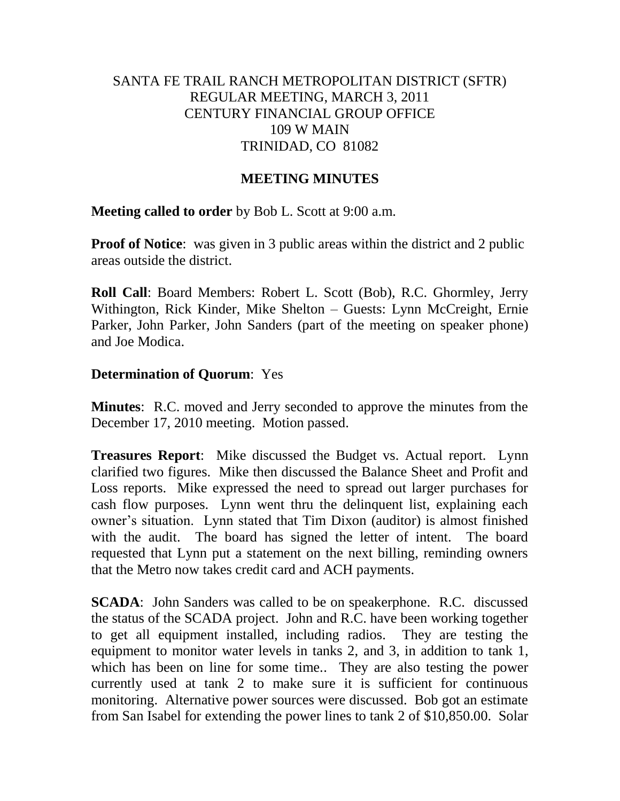# SANTA FE TRAIL RANCH METROPOLITAN DISTRICT (SFTR) REGULAR MEETING, MARCH 3, 2011 CENTURY FINANCIAL GROUP OFFICE 109 W MAIN TRINIDAD, CO 81082

## **MEETING MINUTES**

## **Meeting called to order** by Bob L. Scott at 9:00 a.m.

**Proof of Notice**: was given in 3 public areas within the district and 2 public areas outside the district.

**Roll Call**: Board Members: Robert L. Scott (Bob), R.C. Ghormley, Jerry Withington, Rick Kinder, Mike Shelton – Guests: Lynn McCreight, Ernie Parker, John Parker, John Sanders (part of the meeting on speaker phone) and Joe Modica.

## **Determination of Quorum**: Yes

**Minutes**: R.C. moved and Jerry seconded to approve the minutes from the December 17, 2010 meeting. Motion passed.

**Treasures Report**: Mike discussed the Budget vs. Actual report. Lynn clarified two figures. Mike then discussed the Balance Sheet and Profit and Loss reports. Mike expressed the need to spread out larger purchases for cash flow purposes. Lynn went thru the delinquent list, explaining each owner's situation. Lynn stated that Tim Dixon (auditor) is almost finished with the audit. The board has signed the letter of intent. The board requested that Lynn put a statement on the next billing, reminding owners that the Metro now takes credit card and ACH payments.

**SCADA**: John Sanders was called to be on speakerphone. R.C. discussed the status of the SCADA project. John and R.C. have been working together to get all equipment installed, including radios. They are testing the equipment to monitor water levels in tanks 2, and 3, in addition to tank 1, which has been on line for some time.. They are also testing the power currently used at tank 2 to make sure it is sufficient for continuous monitoring. Alternative power sources were discussed. Bob got an estimate from San Isabel for extending the power lines to tank 2 of \$10,850.00. Solar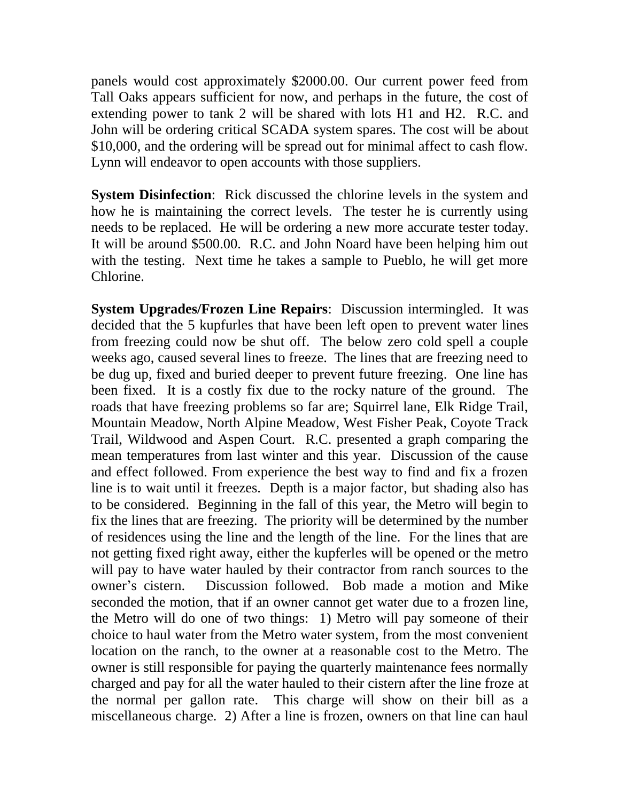panels would cost approximately \$2000.00. Our current power feed from Tall Oaks appears sufficient for now, and perhaps in the future, the cost of extending power to tank 2 will be shared with lots H1 and H2. R.C. and John will be ordering critical SCADA system spares. The cost will be about \$10,000, and the ordering will be spread out for minimal affect to cash flow. Lynn will endeavor to open accounts with those suppliers.

**System Disinfection**: Rick discussed the chlorine levels in the system and how he is maintaining the correct levels. The tester he is currently using needs to be replaced. He will be ordering a new more accurate tester today. It will be around \$500.00. R.C. and John Noard have been helping him out with the testing. Next time he takes a sample to Pueblo, he will get more Chlorine.

**System Upgrades/Frozen Line Repairs**: Discussion intermingled. It was decided that the 5 kupfurles that have been left open to prevent water lines from freezing could now be shut off. The below zero cold spell a couple weeks ago, caused several lines to freeze. The lines that are freezing need to be dug up, fixed and buried deeper to prevent future freezing. One line has been fixed. It is a costly fix due to the rocky nature of the ground. The roads that have freezing problems so far are; Squirrel lane, Elk Ridge Trail, Mountain Meadow, North Alpine Meadow, West Fisher Peak, Coyote Track Trail, Wildwood and Aspen Court. R.C. presented a graph comparing the mean temperatures from last winter and this year. Discussion of the cause and effect followed. From experience the best way to find and fix a frozen line is to wait until it freezes. Depth is a major factor, but shading also has to be considered. Beginning in the fall of this year, the Metro will begin to fix the lines that are freezing. The priority will be determined by the number of residences using the line and the length of the line. For the lines that are not getting fixed right away, either the kupferles will be opened or the metro will pay to have water hauled by their contractor from ranch sources to the owner's cistern. Discussion followed. Bob made a motion and Mike seconded the motion, that if an owner cannot get water due to a frozen line, the Metro will do one of two things: 1) Metro will pay someone of their choice to haul water from the Metro water system, from the most convenient location on the ranch, to the owner at a reasonable cost to the Metro. The owner is still responsible for paying the quarterly maintenance fees normally charged and pay for all the water hauled to their cistern after the line froze at the normal per gallon rate. This charge will show on their bill as a miscellaneous charge. 2) After a line is frozen, owners on that line can haul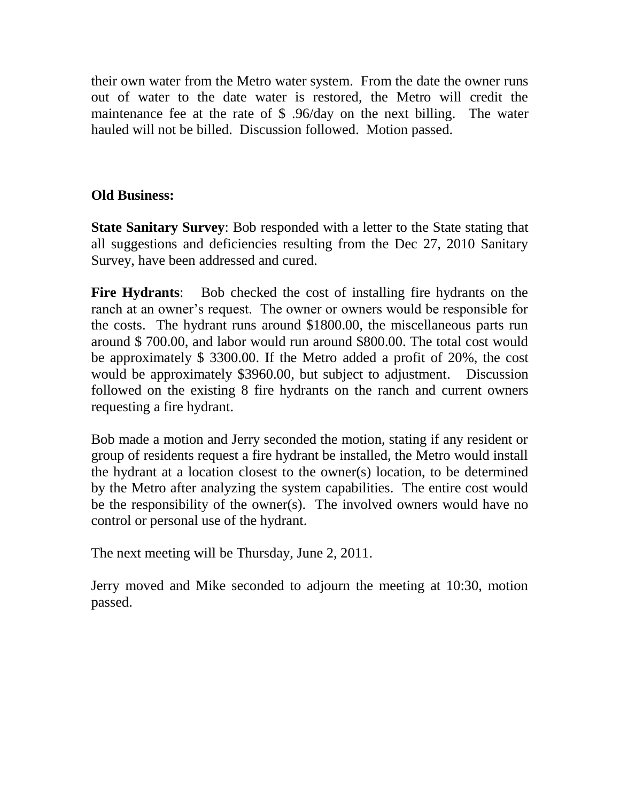their own water from the Metro water system. From the date the owner runs out of water to the date water is restored, the Metro will credit the maintenance fee at the rate of \$ .96/day on the next billing. The water hauled will not be billed. Discussion followed. Motion passed.

# **Old Business:**

**State Sanitary Survey**: Bob responded with a letter to the State stating that all suggestions and deficiencies resulting from the Dec 27, 2010 Sanitary Survey, have been addressed and cured.

**Fire Hydrants**: Bob checked the cost of installing fire hydrants on the ranch at an owner's request. The owner or owners would be responsible for the costs. The hydrant runs around \$1800.00, the miscellaneous parts run around \$ 700.00, and labor would run around \$800.00. The total cost would be approximately \$ 3300.00. If the Metro added a profit of 20%, the cost would be approximately \$3960.00, but subject to adjustment. Discussion followed on the existing 8 fire hydrants on the ranch and current owners requesting a fire hydrant.

Bob made a motion and Jerry seconded the motion, stating if any resident or group of residents request a fire hydrant be installed, the Metro would install the hydrant at a location closest to the owner(s) location, to be determined by the Metro after analyzing the system capabilities. The entire cost would be the responsibility of the owner(s). The involved owners would have no control or personal use of the hydrant.

The next meeting will be Thursday, June 2, 2011.

Jerry moved and Mike seconded to adjourn the meeting at 10:30, motion passed.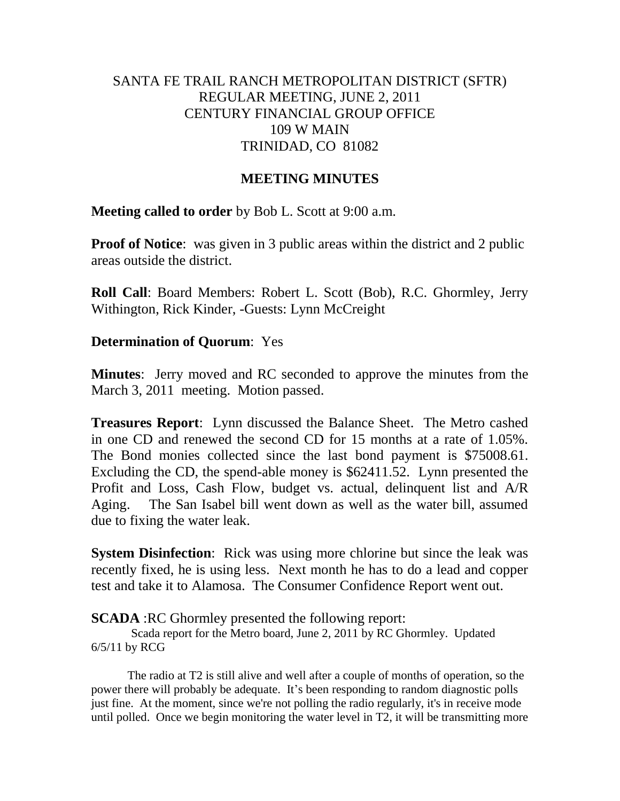# SANTA FE TRAIL RANCH METROPOLITAN DISTRICT (SFTR) REGULAR MEETING, JUNE 2, 2011 CENTURY FINANCIAL GROUP OFFICE 109 W MAIN TRINIDAD, CO 81082

#### **MEETING MINUTES**

**Meeting called to order** by Bob L. Scott at 9:00 a.m.

**Proof of Notice**: was given in 3 public areas within the district and 2 public areas outside the district.

**Roll Call**: Board Members: Robert L. Scott (Bob), R.C. Ghormley, Jerry Withington, Rick Kinder, -Guests: Lynn McCreight

## **Determination of Quorum**: Yes

**Minutes**: Jerry moved and RC seconded to approve the minutes from the March 3, 2011 meeting. Motion passed.

**Treasures Report**: Lynn discussed the Balance Sheet. The Metro cashed in one CD and renewed the second CD for 15 months at a rate of 1.05%. The Bond monies collected since the last bond payment is \$75008.61. Excluding the CD, the spend-able money is \$62411.52. Lynn presented the Profit and Loss, Cash Flow, budget vs. actual, delinquent list and A/R Aging. The San Isabel bill went down as well as the water bill, assumed due to fixing the water leak.

**System Disinfection:** Rick was using more chlorine but since the leak was recently fixed, he is using less. Next month he has to do a lead and copper test and take it to Alamosa. The Consumer Confidence Report went out.

**SCADA** : RC Ghormley presented the following report:

Scada report for the Metro board, June 2, 2011 by RC Ghormley. Updated 6/5/11 by RCG

The radio at T2 is still alive and well after a couple of months of operation, so the power there will probably be adequate. It's been responding to random diagnostic polls just fine. At the moment, since we're not polling the radio regularly, it's in receive mode until polled. Once we begin monitoring the water level in T2, it will be transmitting more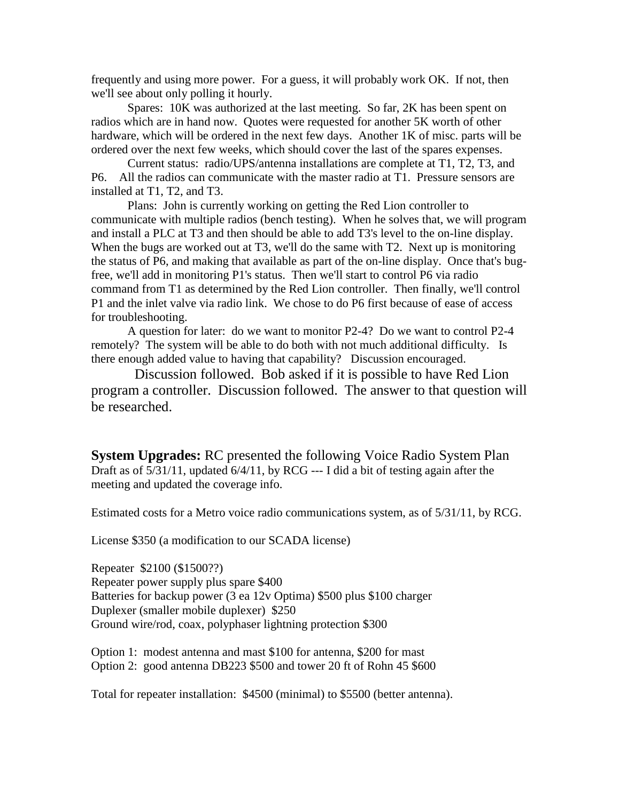frequently and using more power. For a guess, it will probably work OK. If not, then we'll see about only polling it hourly.

Spares: 10K was authorized at the last meeting. So far, 2K has been spent on radios which are in hand now. Quotes were requested for another 5K worth of other hardware, which will be ordered in the next few days. Another 1K of misc. parts will be ordered over the next few weeks, which should cover the last of the spares expenses.

Current status: radio/UPS/antenna installations are complete at T1, T2, T3, and P6. All the radios can communicate with the master radio at T1. Pressure sensors are installed at T1, T2, and T3.

Plans: John is currently working on getting the Red Lion controller to communicate with multiple radios (bench testing). When he solves that, we will program and install a PLC at T3 and then should be able to add T3's level to the on-line display. When the bugs are worked out at T3, we'll do the same with T2. Next up is monitoring the status of P6, and making that available as part of the on-line display. Once that's bugfree, we'll add in monitoring P1's status. Then we'll start to control P6 via radio command from T1 as determined by the Red Lion controller. Then finally, we'll control P1 and the inlet valve via radio link. We chose to do P6 first because of ease of access for troubleshooting.

A question for later: do we want to monitor P2-4? Do we want to control P2-4 remotely? The system will be able to do both with not much additional difficulty. Is there enough added value to having that capability? Discussion encouraged.

 Discussion followed. Bob asked if it is possible to have Red Lion program a controller. Discussion followed. The answer to that question will be researched.

**System Upgrades:** RC presented the following Voice Radio System Plan Draft as of 5/31/11, updated 6/4/11, by RCG --- I did a bit of testing again after the meeting and updated the coverage info.

Estimated costs for a Metro voice radio communications system, as of 5/31/11, by RCG.

License \$350 (a modification to our SCADA license)

Repeater \$2100 (\$1500??) Repeater power supply plus spare \$400 Batteries for backup power (3 ea 12v Optima) \$500 plus \$100 charger Duplexer (smaller mobile duplexer) \$250 Ground wire/rod, coax, polyphaser lightning protection \$300

Option 1: modest antenna and mast \$100 for antenna, \$200 for mast Option 2: good antenna DB223 \$500 and tower 20 ft of Rohn 45 \$600

Total for repeater installation: \$4500 (minimal) to \$5500 (better antenna).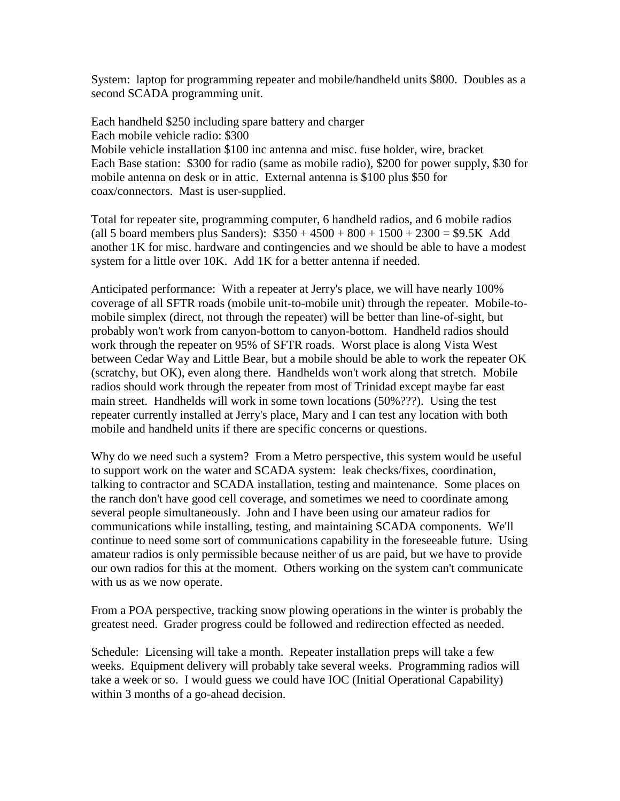System: laptop for programming repeater and mobile/handheld units \$800. Doubles as a second SCADA programming unit.

Each handheld \$250 including spare battery and charger Each mobile vehicle radio: \$300

Mobile vehicle installation \$100 inc antenna and misc. fuse holder, wire, bracket Each Base station: \$300 for radio (same as mobile radio), \$200 for power supply, \$30 for mobile antenna on desk or in attic. External antenna is \$100 plus \$50 for coax/connectors. Mast is user-supplied.

Total for repeater site, programming computer, 6 handheld radios, and 6 mobile radios (all 5 board members plus Sanders):  $$350 + 4500 + 800 + 1500 + 2300 = $9.5K$  Add another 1K for misc. hardware and contingencies and we should be able to have a modest system for a little over 10K. Add 1K for a better antenna if needed.

Anticipated performance: With a repeater at Jerry's place, we will have nearly 100% coverage of all SFTR roads (mobile unit-to-mobile unit) through the repeater. Mobile-tomobile simplex (direct, not through the repeater) will be better than line-of-sight, but probably won't work from canyon-bottom to canyon-bottom. Handheld radios should work through the repeater on 95% of SFTR roads. Worst place is along Vista West between Cedar Way and Little Bear, but a mobile should be able to work the repeater OK (scratchy, but OK), even along there. Handhelds won't work along that stretch. Mobile radios should work through the repeater from most of Trinidad except maybe far east main street. Handhelds will work in some town locations (50%???). Using the test repeater currently installed at Jerry's place, Mary and I can test any location with both mobile and handheld units if there are specific concerns or questions.

Why do we need such a system? From a Metro perspective, this system would be useful to support work on the water and SCADA system: leak checks/fixes, coordination, talking to contractor and SCADA installation, testing and maintenance. Some places on the ranch don't have good cell coverage, and sometimes we need to coordinate among several people simultaneously. John and I have been using our amateur radios for communications while installing, testing, and maintaining SCADA components. We'll continue to need some sort of communications capability in the foreseeable future. Using amateur radios is only permissible because neither of us are paid, but we have to provide our own radios for this at the moment. Others working on the system can't communicate with us as we now operate.

From a POA perspective, tracking snow plowing operations in the winter is probably the greatest need. Grader progress could be followed and redirection effected as needed.

Schedule: Licensing will take a month. Repeater installation preps will take a few weeks. Equipment delivery will probably take several weeks. Programming radios will take a week or so. I would guess we could have IOC (Initial Operational Capability) within 3 months of a go-ahead decision.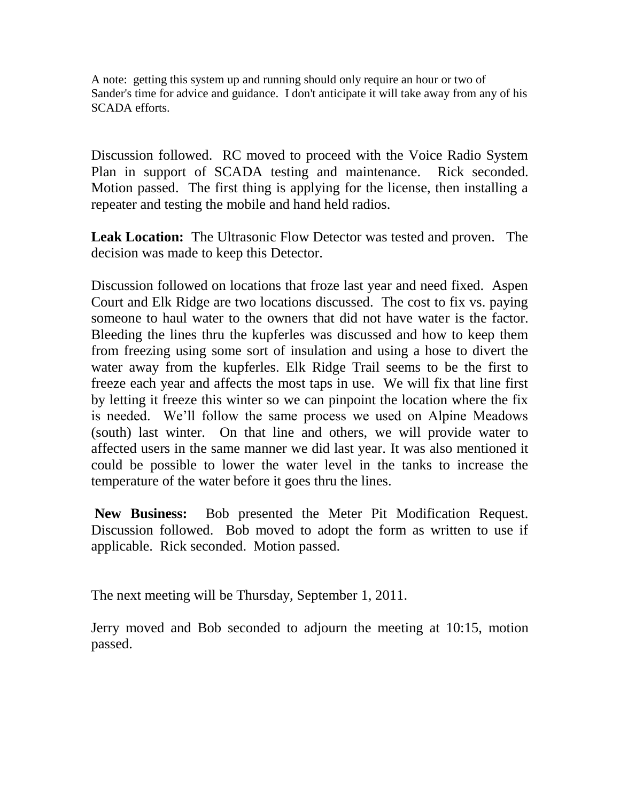A note: getting this system up and running should only require an hour or two of Sander's time for advice and guidance. I don't anticipate it will take away from any of his SCADA efforts.

Discussion followed. RC moved to proceed with the Voice Radio System Plan in support of SCADA testing and maintenance. Rick seconded. Motion passed. The first thing is applying for the license, then installing a repeater and testing the mobile and hand held radios.

**Leak Location:** The Ultrasonic Flow Detector was tested and proven. The decision was made to keep this Detector.

Discussion followed on locations that froze last year and need fixed. Aspen Court and Elk Ridge are two locations discussed. The cost to fix vs. paying someone to haul water to the owners that did not have water is the factor. Bleeding the lines thru the kupferles was discussed and how to keep them from freezing using some sort of insulation and using a hose to divert the water away from the kupferles. Elk Ridge Trail seems to be the first to freeze each year and affects the most taps in use. We will fix that line first by letting it freeze this winter so we can pinpoint the location where the fix is needed. We'll follow the same process we used on Alpine Meadows (south) last winter. On that line and others, we will provide water to affected users in the same manner we did last year. It was also mentioned it could be possible to lower the water level in the tanks to increase the temperature of the water before it goes thru the lines.

**New Business:** Bob presented the Meter Pit Modification Request. Discussion followed. Bob moved to adopt the form as written to use if applicable. Rick seconded. Motion passed.

The next meeting will be Thursday, September 1, 2011.

Jerry moved and Bob seconded to adjourn the meeting at 10:15, motion passed.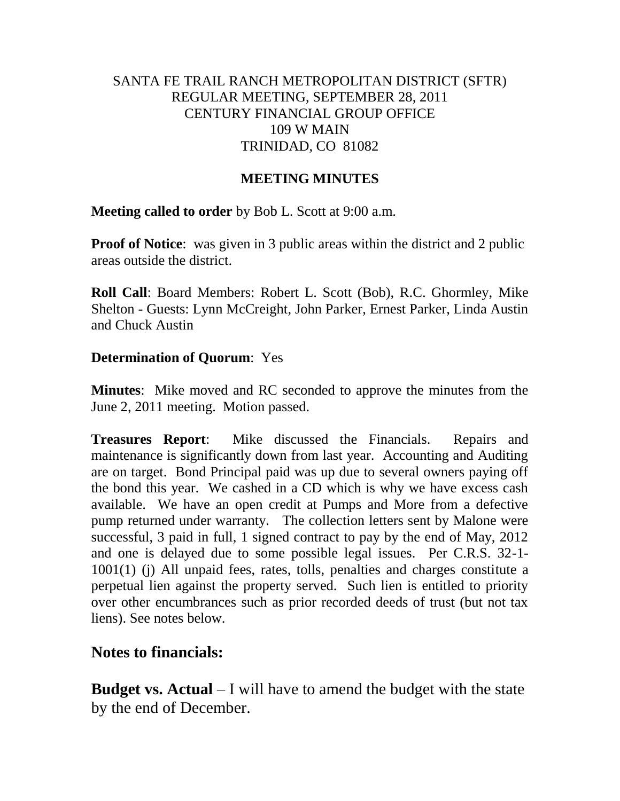# SANTA FE TRAIL RANCH METROPOLITAN DISTRICT (SFTR) REGULAR MEETING, SEPTEMBER 28, 2011 CENTURY FINANCIAL GROUP OFFICE 109 W MAIN TRINIDAD, CO 81082

## **MEETING MINUTES**

**Meeting called to order** by Bob L. Scott at 9:00 a.m.

**Proof of Notice**: was given in 3 public areas within the district and 2 public areas outside the district.

**Roll Call**: Board Members: Robert L. Scott (Bob), R.C. Ghormley, Mike Shelton - Guests: Lynn McCreight, John Parker, Ernest Parker, Linda Austin and Chuck Austin

# **Determination of Quorum**: Yes

**Minutes**: Mike moved and RC seconded to approve the minutes from the June 2, 2011 meeting. Motion passed.

**Treasures Report**: Mike discussed the Financials. Repairs and maintenance is significantly down from last year. Accounting and Auditing are on target. Bond Principal paid was up due to several owners paying off the bond this year. We cashed in a CD which is why we have excess cash available. We have an open credit at Pumps and More from a defective pump returned under warranty. The collection letters sent by Malone were successful, 3 paid in full, 1 signed contract to pay by the end of May, 2012 and one is delayed due to some possible legal issues. Per C.R.S. 32-1- 1001(1) (j) All unpaid fees, rates, tolls, penalties and charges constitute a perpetual lien against the property served. Such lien is entitled to priority over other encumbrances such as prior recorded deeds of trust (but not tax liens). See notes below.

# **Notes to financials:**

**Budget vs. Actual** – I will have to amend the budget with the state by the end of December.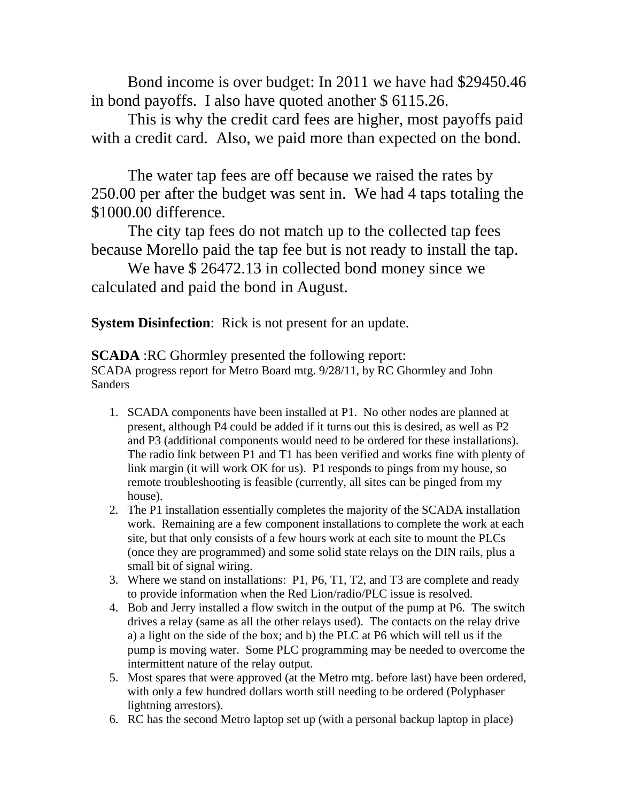Bond income is over budget: In 2011 we have had \$29450.46 in bond payoffs. I also have quoted another \$ 6115.26.

This is why the credit card fees are higher, most payoffs paid with a credit card. Also, we paid more than expected on the bond.

The water tap fees are off because we raised the rates by 250.00 per after the budget was sent in. We had 4 taps totaling the \$1000.00 difference.

The city tap fees do not match up to the collected tap fees because Morello paid the tap fee but is not ready to install the tap.

We have \$26472.13 in collected bond money since we calculated and paid the bond in August.

**System Disinfection**: Rick is not present for an update.

**SCADA** :RC Ghormley presented the following report:

SCADA progress report for Metro Board mtg. 9/28/11, by RC Ghormley and John Sanders

- 1. SCADA components have been installed at P1. No other nodes are planned at present, although P4 could be added if it turns out this is desired, as well as P2 and P3 (additional components would need to be ordered for these installations). The radio link between P1 and T1 has been verified and works fine with plenty of link margin (it will work OK for us). P1 responds to pings from my house, so remote troubleshooting is feasible (currently, all sites can be pinged from my house).
- 2. The P1 installation essentially completes the majority of the SCADA installation work. Remaining are a few component installations to complete the work at each site, but that only consists of a few hours work at each site to mount the PLCs (once they are programmed) and some solid state relays on the DIN rails, plus a small bit of signal wiring.
- 3. Where we stand on installations: P1, P6, T1, T2, and T3 are complete and ready to provide information when the Red Lion/radio/PLC issue is resolved.
- 4. Bob and Jerry installed a flow switch in the output of the pump at P6. The switch drives a relay (same as all the other relays used). The contacts on the relay drive a) a light on the side of the box; and b) the PLC at P6 which will tell us if the pump is moving water. Some PLC programming may be needed to overcome the intermittent nature of the relay output.
- 5. Most spares that were approved (at the Metro mtg. before last) have been ordered, with only a few hundred dollars worth still needing to be ordered (Polyphaser lightning arrestors).
- 6. RC has the second Metro laptop set up (with a personal backup laptop in place)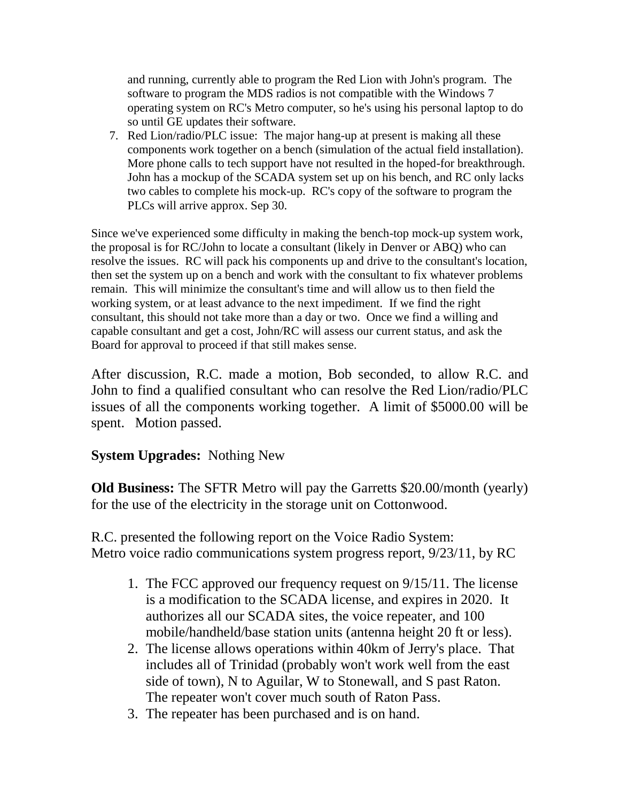and running, currently able to program the Red Lion with John's program. The software to program the MDS radios is not compatible with the Windows 7 operating system on RC's Metro computer, so he's using his personal laptop to do so until GE updates their software.

7. Red Lion/radio/PLC issue: The major hang-up at present is making all these components work together on a bench (simulation of the actual field installation). More phone calls to tech support have not resulted in the hoped-for breakthrough. John has a mockup of the SCADA system set up on his bench, and RC only lacks two cables to complete his mock-up. RC's copy of the software to program the PLCs will arrive approx. Sep 30.

Since we've experienced some difficulty in making the bench-top mock-up system work, the proposal is for RC/John to locate a consultant (likely in Denver or ABQ) who can resolve the issues. RC will pack his components up and drive to the consultant's location, then set the system up on a bench and work with the consultant to fix whatever problems remain. This will minimize the consultant's time and will allow us to then field the working system, or at least advance to the next impediment. If we find the right consultant, this should not take more than a day or two. Once we find a willing and capable consultant and get a cost, John/RC will assess our current status, and ask the Board for approval to proceed if that still makes sense.

After discussion, R.C. made a motion, Bob seconded, to allow R.C. and John to find a qualified consultant who can resolve the Red Lion/radio/PLC issues of all the components working together. A limit of \$5000.00 will be spent. Motion passed.

# **System Upgrades:** Nothing New

**Old Business:** The SFTR Metro will pay the Garretts \$20.00/month (yearly) for the use of the electricity in the storage unit on Cottonwood.

R.C. presented the following report on the Voice Radio System: Metro voice radio communications system progress report, 9/23/11, by RC

- 1. The FCC approved our frequency request on 9/15/11. The license is a modification to the SCADA license, and expires in 2020. It authorizes all our SCADA sites, the voice repeater, and 100 mobile/handheld/base station units (antenna height 20 ft or less).
- 2. The license allows operations within 40km of Jerry's place. That includes all of Trinidad (probably won't work well from the east side of town), N to Aguilar, W to Stonewall, and S past Raton. The repeater won't cover much south of Raton Pass.
- 3. The repeater has been purchased and is on hand.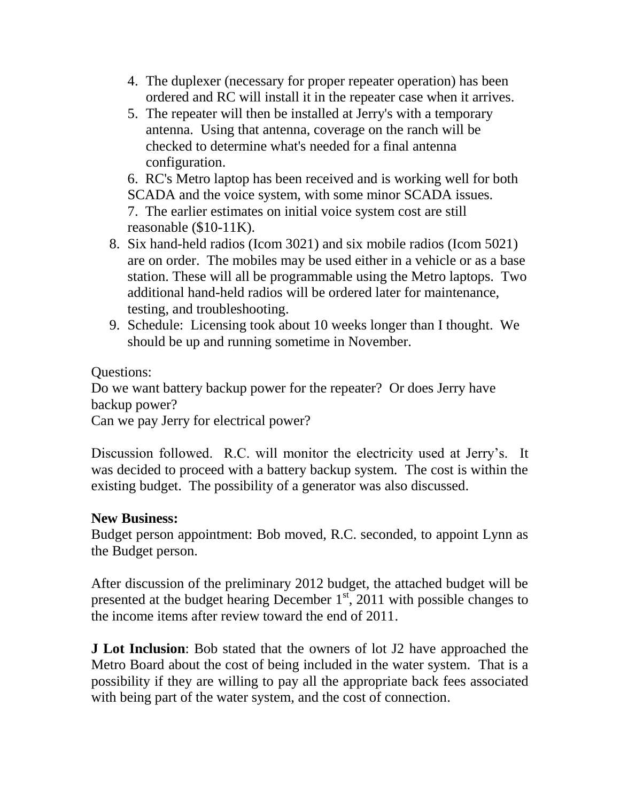- 4. The duplexer (necessary for proper repeater operation) has been ordered and RC will install it in the repeater case when it arrives.
- 5. The repeater will then be installed at Jerry's with a temporary antenna. Using that antenna, coverage on the ranch will be checked to determine what's needed for a final antenna configuration.

6. RC's Metro laptop has been received and is working well for both SCADA and the voice system, with some minor SCADA issues. 7. The earlier estimates on initial voice system cost are still reasonable (\$10-11K).

- 8. Six hand-held radios (Icom 3021) and six mobile radios (Icom 5021) are on order. The mobiles may be used either in a vehicle or as a base station. These will all be programmable using the Metro laptops. Two additional hand-held radios will be ordered later for maintenance, testing, and troubleshooting.
- 9. Schedule: Licensing took about 10 weeks longer than I thought. We should be up and running sometime in November.

Questions:

Do we want battery backup power for the repeater? Or does Jerry have backup power?

Can we pay Jerry for electrical power?

Discussion followed. R.C. will monitor the electricity used at Jerry's. It was decided to proceed with a battery backup system. The cost is within the existing budget. The possibility of a generator was also discussed.

# **New Business:**

Budget person appointment: Bob moved, R.C. seconded, to appoint Lynn as the Budget person.

After discussion of the preliminary 2012 budget, the attached budget will be presented at the budget hearing December  $1<sup>st</sup>$ , 2011 with possible changes to the income items after review toward the end of 2011.

**J Lot Inclusion**: Bob stated that the owners of lot J2 have approached the Metro Board about the cost of being included in the water system. That is a possibility if they are willing to pay all the appropriate back fees associated with being part of the water system, and the cost of connection.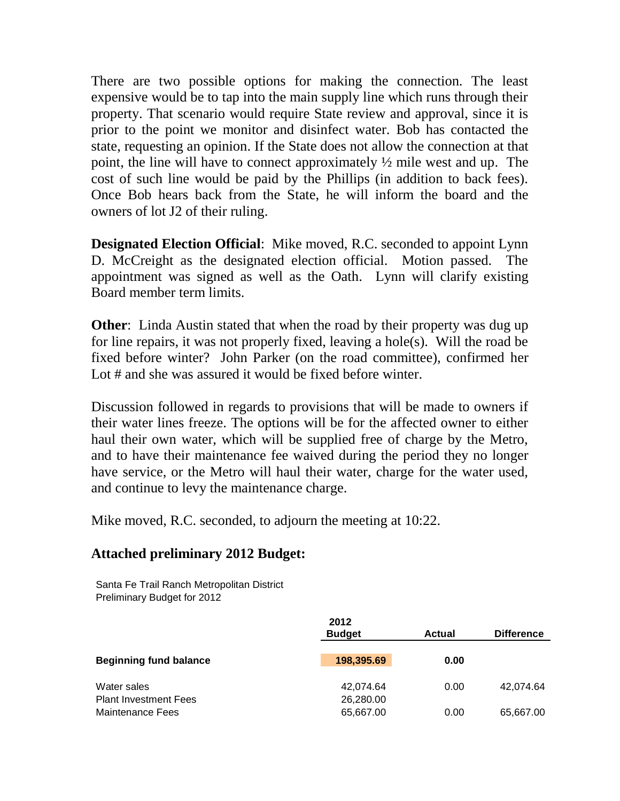There are two possible options for making the connection. The least expensive would be to tap into the main supply line which runs through their property. That scenario would require State review and approval, since it is prior to the point we monitor and disinfect water. Bob has contacted the state, requesting an opinion. If the State does not allow the connection at that point, the line will have to connect approximately ½ mile west and up. The cost of such line would be paid by the Phillips (in addition to back fees). Once Bob hears back from the State, he will inform the board and the owners of lot J2 of their ruling.

**Designated Election Official**: Mike moved, R.C. seconded to appoint Lynn D. McCreight as the designated election official. Motion passed. The appointment was signed as well as the Oath. Lynn will clarify existing Board member term limits.

**Other:** Linda Austin stated that when the road by their property was dug up for line repairs, it was not properly fixed, leaving a hole(s). Will the road be fixed before winter? John Parker (on the road committee), confirmed her Lot # and she was assured it would be fixed before winter.

Discussion followed in regards to provisions that will be made to owners if their water lines freeze. The options will be for the affected owner to either haul their own water, which will be supplied free of charge by the Metro, and to have their maintenance fee waived during the period they no longer have service, or the Metro will haul their water, charge for the water used, and continue to levy the maintenance charge.

Mike moved, R.C. seconded, to adjourn the meeting at 10:22.

# **Attached preliminary 2012 Budget:**

Santa Fe Trail Ranch Metropolitan District Preliminary Budget for 2012

|                                             | 2012<br><b>Budget</b>  | Actual | <b>Difference</b> |
|---------------------------------------------|------------------------|--------|-------------------|
| <b>Beginning fund balance</b>               | 198,395.69             | 0.00   |                   |
| Water sales<br><b>Plant Investment Fees</b> | 42,074.64<br>26,280.00 | 0.00   | 42.074.64         |
| <b>Maintenance Fees</b>                     | 65,667.00              | 0.00   | 65,667.00         |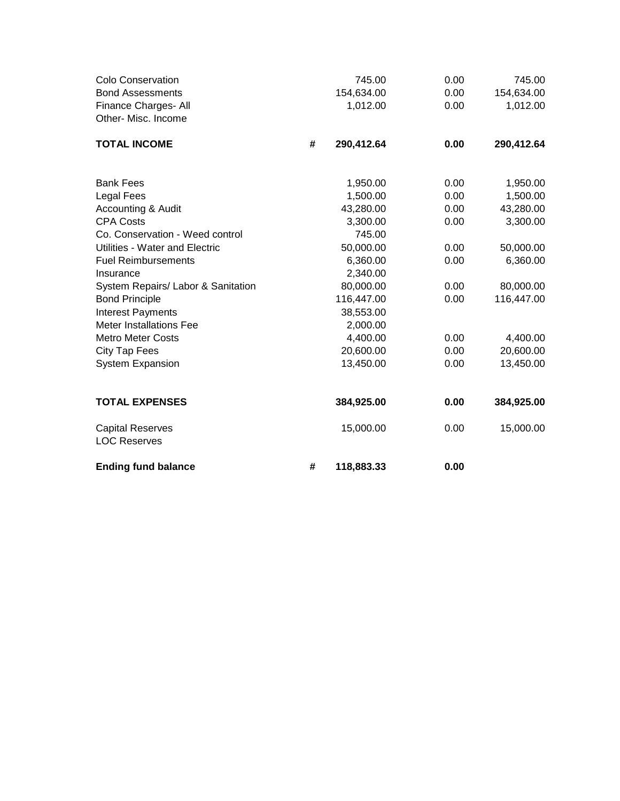| <b>Colo Conservation</b><br><b>Bond Assessments</b><br>Finance Charges- All<br>Other- Misc. Income |   | 745.00<br>154,634.00<br>1,012.00 | 0.00<br>0.00<br>0.00 | 745.00<br>154,634.00<br>1,012.00 |
|----------------------------------------------------------------------------------------------------|---|----------------------------------|----------------------|----------------------------------|
| <b>TOTAL INCOME</b>                                                                                | # | 290,412.64                       | 0.00                 | 290,412.64                       |
| <b>Bank Fees</b>                                                                                   |   | 1,950.00                         | 0.00                 | 1,950.00                         |
| <b>Legal Fees</b>                                                                                  |   | 1,500.00                         | 0.00                 | 1,500.00                         |
| Accounting & Audit                                                                                 |   | 43,280.00                        | 0.00                 | 43,280.00                        |
| <b>CPA Costs</b>                                                                                   |   | 3,300.00                         | 0.00                 | 3,300.00                         |
| Co. Conservation - Weed control                                                                    |   | 745.00                           |                      |                                  |
| Utilities - Water and Electric                                                                     |   | 50,000.00                        | 0.00                 | 50,000.00                        |
| <b>Fuel Reimbursements</b>                                                                         |   | 6,360.00                         | 0.00                 | 6,360.00                         |
| Insurance                                                                                          |   | 2,340.00                         |                      |                                  |
| System Repairs/ Labor & Sanitation                                                                 |   | 80,000.00                        | 0.00                 | 80,000.00                        |
| <b>Bond Principle</b>                                                                              |   | 116,447.00                       | 0.00                 | 116,447.00                       |
| <b>Interest Payments</b>                                                                           |   | 38,553.00                        |                      |                                  |
| <b>Meter Installations Fee</b>                                                                     |   | 2,000.00                         |                      |                                  |
| <b>Metro Meter Costs</b>                                                                           |   | 4,400.00                         | 0.00                 | 4,400.00                         |
| City Tap Fees                                                                                      |   | 20,600.00                        | 0.00                 | 20,600.00                        |
| <b>System Expansion</b>                                                                            |   | 13,450.00                        | 0.00                 | 13,450.00                        |
| <b>TOTAL EXPENSES</b>                                                                              |   | 384,925.00                       | 0.00                 | 384,925.00                       |
| <b>Capital Reserves</b><br><b>LOC Reserves</b>                                                     |   | 15,000.00                        | 0.00                 | 15,000.00                        |
| <b>Ending fund balance</b>                                                                         | # | 118,883.33                       | 0.00                 |                                  |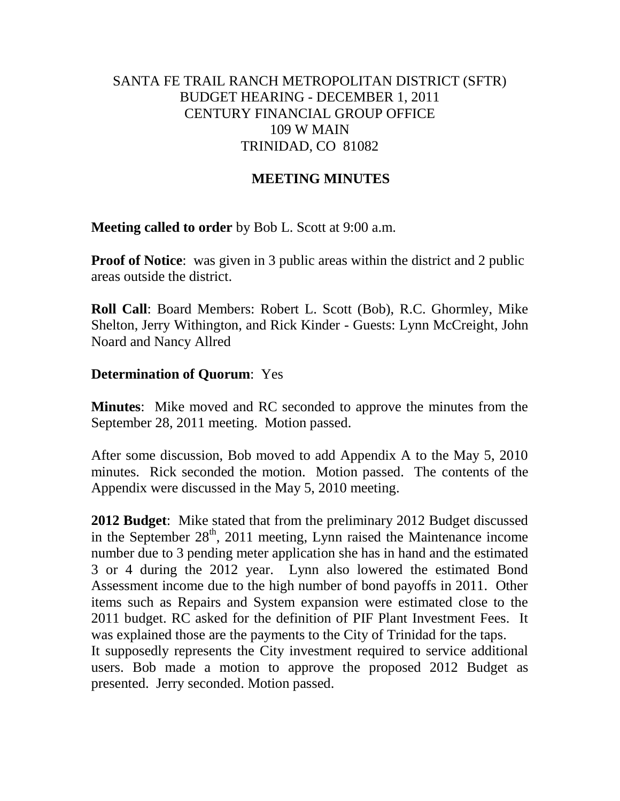# SANTA FE TRAIL RANCH METROPOLITAN DISTRICT (SFTR) BUDGET HEARING - DECEMBER 1, 2011 CENTURY FINANCIAL GROUP OFFICE 109 W MAIN TRINIDAD, CO 81082

# **MEETING MINUTES**

**Meeting called to order** by Bob L. Scott at 9:00 a.m.

**Proof of Notice**: was given in 3 public areas within the district and 2 public areas outside the district.

**Roll Call**: Board Members: Robert L. Scott (Bob), R.C. Ghormley, Mike Shelton, Jerry Withington, and Rick Kinder - Guests: Lynn McCreight, John Noard and Nancy Allred

## **Determination of Quorum**: Yes

**Minutes**: Mike moved and RC seconded to approve the minutes from the September 28, 2011 meeting. Motion passed.

After some discussion, Bob moved to add Appendix A to the May 5, 2010 minutes. Rick seconded the motion. Motion passed. The contents of the Appendix were discussed in the May 5, 2010 meeting.

**2012 Budget**: Mike stated that from the preliminary 2012 Budget discussed in the September  $28<sup>th</sup>$ , 2011 meeting, Lynn raised the Maintenance income number due to 3 pending meter application she has in hand and the estimated 3 or 4 during the 2012 year. Lynn also lowered the estimated Bond Assessment income due to the high number of bond payoffs in 2011. Other items such as Repairs and System expansion were estimated close to the 2011 budget. RC asked for the definition of PIF Plant Investment Fees. It was explained those are the payments to the City of Trinidad for the taps.

It supposedly represents the City investment required to service additional users. Bob made a motion to approve the proposed 2012 Budget as presented. Jerry seconded. Motion passed.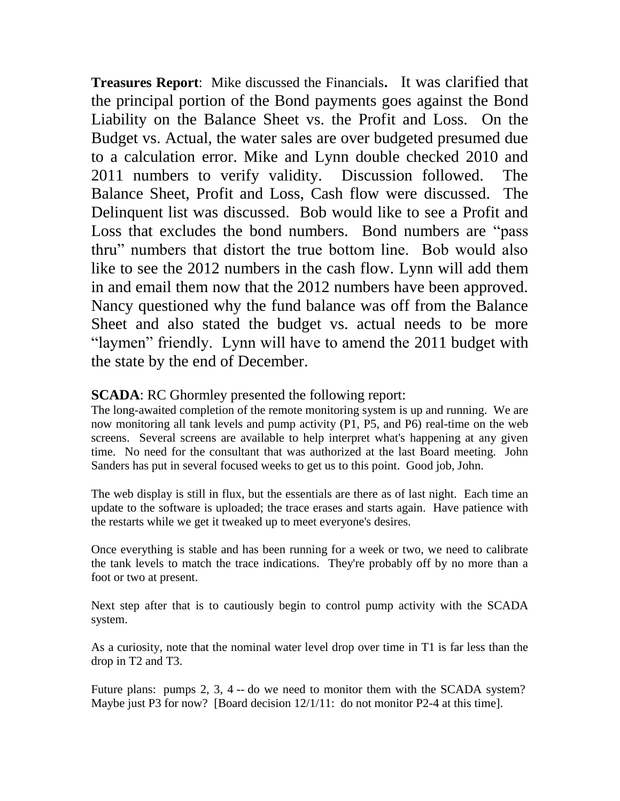**Treasures Report**: Mike discussed the Financials**.** It was clarified that the principal portion of the Bond payments goes against the Bond Liability on the Balance Sheet vs. the Profit and Loss. On the Budget vs. Actual, the water sales are over budgeted presumed due to a calculation error. Mike and Lynn double checked 2010 and 2011 numbers to verify validity. Discussion followed. The Balance Sheet, Profit and Loss, Cash flow were discussed. The Delinquent list was discussed. Bob would like to see a Profit and Loss that excludes the bond numbers. Bond numbers are "pass thru" numbers that distort the true bottom line. Bob would also like to see the 2012 numbers in the cash flow. Lynn will add them in and email them now that the 2012 numbers have been approved. Nancy questioned why the fund balance was off from the Balance Sheet and also stated the budget vs. actual needs to be more "laymen" friendly. Lynn will have to amend the 2011 budget with the state by the end of December.

## **SCADA**: RC Ghormley presented the following report:

The long-awaited completion of the remote monitoring system is up and running. We are now monitoring all tank levels and pump activity (P1, P5, and P6) real-time on the web screens. Several screens are available to help interpret what's happening at any given time. No need for the consultant that was authorized at the last Board meeting. John Sanders has put in several focused weeks to get us to this point. Good job, John.

The web display is still in flux, but the essentials are there as of last night. Each time an update to the software is uploaded; the trace erases and starts again. Have patience with the restarts while we get it tweaked up to meet everyone's desires.

Once everything is stable and has been running for a week or two, we need to calibrate the tank levels to match the trace indications. They're probably off by no more than a foot or two at present.

Next step after that is to cautiously begin to control pump activity with the SCADA system.

As a curiosity, note that the nominal water level drop over time in T1 is far less than the drop in T2 and T3.

Future plans: pumps 2, 3, 4 -- do we need to monitor them with the SCADA system? Maybe just P3 for now? [Board decision  $12/1/11$ : do not monitor P2-4 at this time].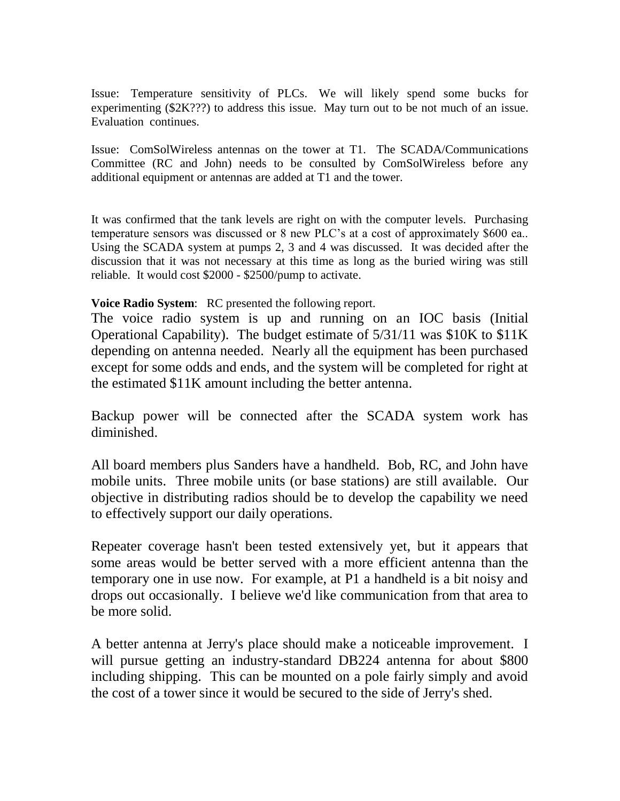Issue: Temperature sensitivity of PLCs. We will likely spend some bucks for experimenting (\$2K???) to address this issue. May turn out to be not much of an issue. Evaluation continues.

Issue: ComSolWireless antennas on the tower at T1. The SCADA/Communications Committee (RC and John) needs to be consulted by ComSolWireless before any additional equipment or antennas are added at T1 and the tower.

It was confirmed that the tank levels are right on with the computer levels. Purchasing temperature sensors was discussed or 8 new PLC's at a cost of approximately \$600 ea.. Using the SCADA system at pumps 2, 3 and 4 was discussed. It was decided after the discussion that it was not necessary at this time as long as the buried wiring was still reliable. It would cost \$2000 - \$2500/pump to activate.

**Voice Radio System**: RC presented the following report.

The voice radio system is up and running on an IOC basis (Initial Operational Capability). The budget estimate of 5/31/11 was \$10K to \$11K depending on antenna needed. Nearly all the equipment has been purchased except for some odds and ends, and the system will be completed for right at the estimated \$11K amount including the better antenna.

Backup power will be connected after the SCADA system work has diminished.

All board members plus Sanders have a handheld. Bob, RC, and John have mobile units. Three mobile units (or base stations) are still available. Our objective in distributing radios should be to develop the capability we need to effectively support our daily operations.

Repeater coverage hasn't been tested extensively yet, but it appears that some areas would be better served with a more efficient antenna than the temporary one in use now. For example, at P1 a handheld is a bit noisy and drops out occasionally. I believe we'd like communication from that area to be more solid.

A better antenna at Jerry's place should make a noticeable improvement. I will pursue getting an industry-standard DB224 antenna for about \$800 including shipping. This can be mounted on a pole fairly simply and avoid the cost of a tower since it would be secured to the side of Jerry's shed.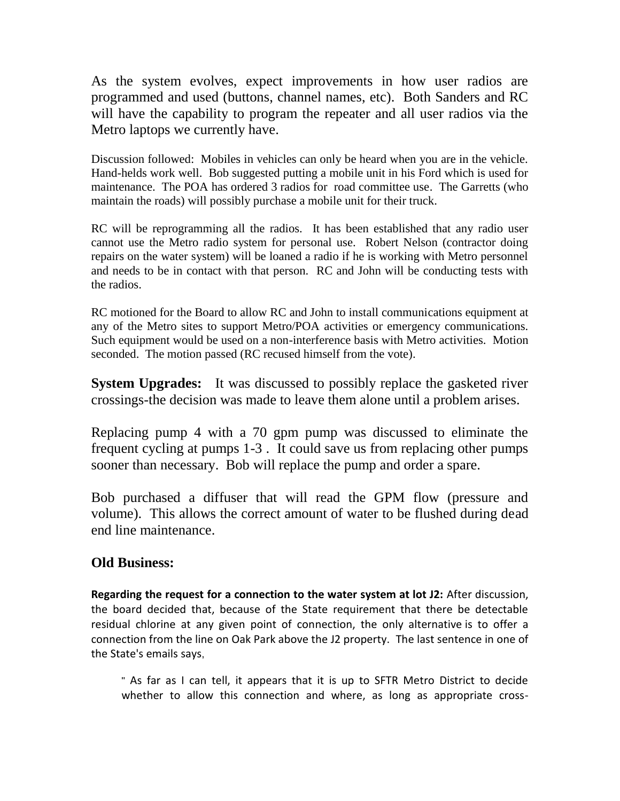As the system evolves, expect improvements in how user radios are programmed and used (buttons, channel names, etc). Both Sanders and RC will have the capability to program the repeater and all user radios via the Metro laptops we currently have.

Discussion followed: Mobiles in vehicles can only be heard when you are in the vehicle. Hand-helds work well. Bob suggested putting a mobile unit in his Ford which is used for maintenance. The POA has ordered 3 radios for road committee use. The Garretts (who maintain the roads) will possibly purchase a mobile unit for their truck.

RC will be reprogramming all the radios. It has been established that any radio user cannot use the Metro radio system for personal use. Robert Nelson (contractor doing repairs on the water system) will be loaned a radio if he is working with Metro personnel and needs to be in contact with that person. RC and John will be conducting tests with the radios.

RC motioned for the Board to allow RC and John to install communications equipment at any of the Metro sites to support Metro/POA activities or emergency communications. Such equipment would be used on a non-interference basis with Metro activities. Motion seconded. The motion passed (RC recused himself from the vote).

**System Upgrades:** It was discussed to possibly replace the gasketed river crossings-the decision was made to leave them alone until a problem arises.

Replacing pump 4 with a 70 gpm pump was discussed to eliminate the frequent cycling at pumps 1-3 . It could save us from replacing other pumps sooner than necessary. Bob will replace the pump and order a spare.

Bob purchased a diffuser that will read the GPM flow (pressure and volume). This allows the correct amount of water to be flushed during dead end line maintenance.

# **Old Business:**

**Regarding the request for a connection to the water system at lot J2:** After discussion, the board decided that, because of the State requirement that there be detectable residual chlorine at any given point of connection, the only alternative is to offer a connection from the line on Oak Park above the J2 property. The last sentence in one of the State's emails says,

" As far as I can tell, it appears that it is up to SFTR Metro District to decide whether to allow this connection and where, as long as appropriate cross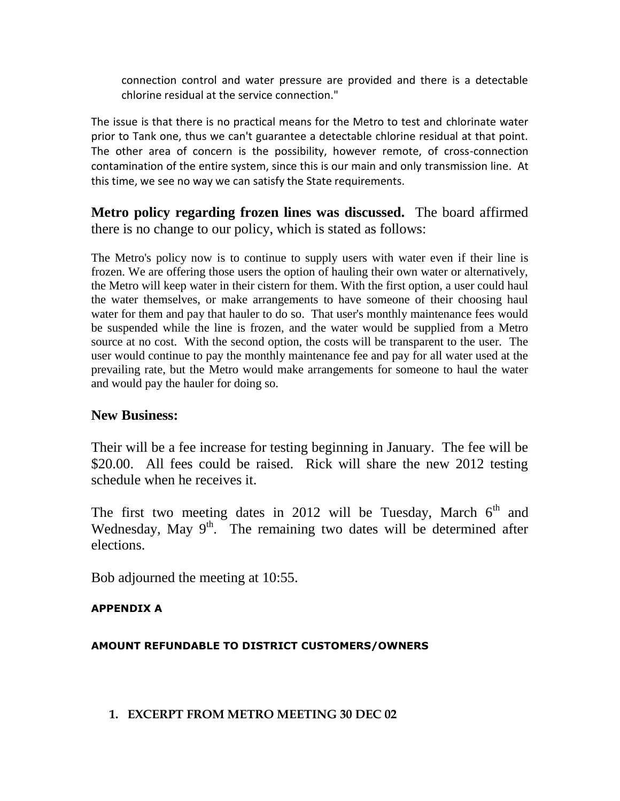connection control and water pressure are provided and there is a detectable chlorine residual at the service connection."

The issue is that there is no practical means for the Metro to test and chlorinate water prior to Tank one, thus we can't guarantee a detectable chlorine residual at that point. The other area of concern is the possibility, however remote, of cross-connection contamination of the entire system, since this is our main and only transmission line. At this time, we see no way we can satisfy the State requirements.

**Metro policy regarding frozen lines was discussed.** The board affirmed there is no change to our policy, which is stated as follows:

The Metro's policy now is to continue to supply users with water even if their line is frozen. We are offering those users the option of hauling their own water or alternatively, the Metro will keep water in their cistern for them. With the first option, a user could haul the water themselves, or make arrangements to have someone of their choosing haul water for them and pay that hauler to do so. That user's monthly maintenance fees would be suspended while the line is frozen, and the water would be supplied from a Metro source at no cost. With the second option, the costs will be transparent to the user. The user would continue to pay the monthly maintenance fee and pay for all water used at the prevailing rate, but the Metro would make arrangements for someone to haul the water and would pay the hauler for doing so.

# **New Business:**

Their will be a fee increase for testing beginning in January. The fee will be \$20.00. All fees could be raised. Rick will share the new 2012 testing schedule when he receives it.

The first two meeting dates in 2012 will be Tuesday, March  $6<sup>th</sup>$  and Wednesday, May  $9<sup>th</sup>$ . The remaining two dates will be determined after elections.

Bob adjourned the meeting at 10:55.

#### **APPENDIX A**

# **AMOUNT REFUNDABLE TO DISTRICT CUSTOMERS/OWNERS**

#### **1. EXCERPT FROM METRO MEETING 30 DEC 02**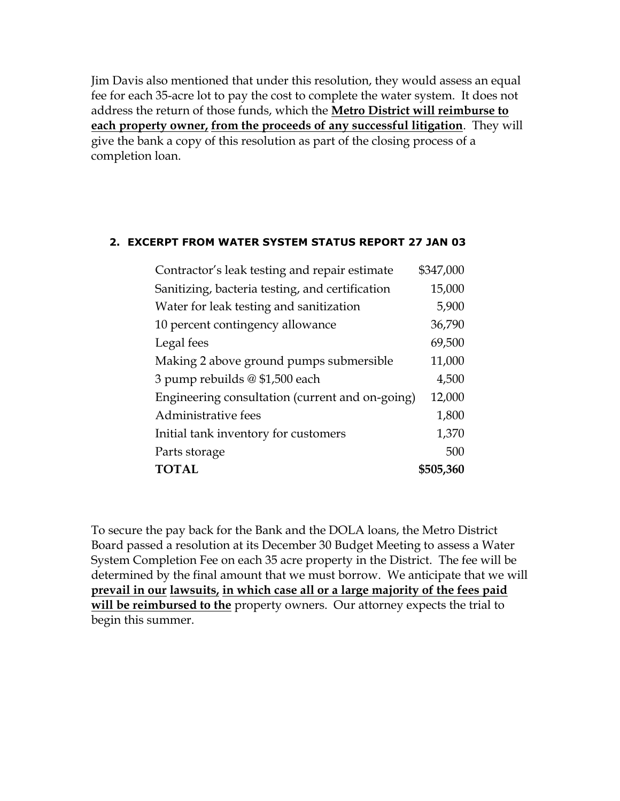Jim Davis also mentioned that under this resolution, they would assess an equal fee for each 35-acre lot to pay the cost to complete the water system. It does not address the return of those funds, which the **Metro District will reimburse to each property owner, from the proceeds of any successful litigation**. They will give the bank a copy of this resolution as part of the closing process of a completion loan.

#### **2. EXCERPT FROM WATER SYSTEM STATUS REPORT 27 JAN 03**

| \$347,000                                                 |
|-----------------------------------------------------------|
| 15,000                                                    |
| 5,900                                                     |
| 36,790                                                    |
| 69,500                                                    |
| 11,000                                                    |
| 4,500                                                     |
| Engineering consultation (current and on-going)<br>12,000 |
| 1,800                                                     |
| 1,370                                                     |
| 500                                                       |
| \$505,360                                                 |
|                                                           |

To secure the pay back for the Bank and the DOLA loans, the Metro District Board passed a resolution at its December 30 Budget Meeting to assess a Water System Completion Fee on each 35 acre property in the District. The fee will be determined by the final amount that we must borrow. We anticipate that we will **prevail in our lawsuits, in which case all or a large majority of the fees paid will be reimbursed to the** property owners. Our attorney expects the trial to begin this summer.